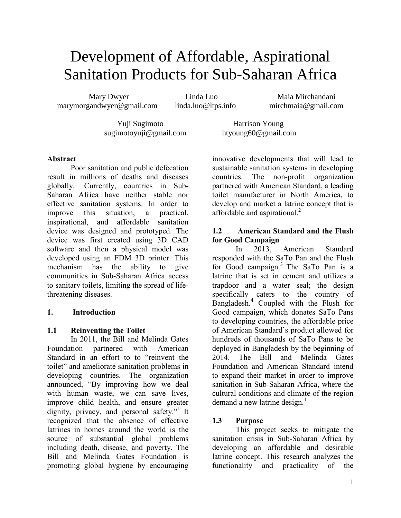# Development of Affordable, Aspirational Sanitation Products for Sub-Saharan Africa

Mary Dwyer Linda Luo Maia Mirchandani [marymorgandwyer@gmail.com](mailto:marymorgandwyer@gmail.com) [linda.luo@ltps.info](mailto:linda.luo@ltps.info) [mirchmaia@gmail.com](mailto:mirchmaia@gmail.com)

Yuji Sugimoto Harrison Young [sugimotoyuji@gmail.com](mailto:sugimotoyuji@gmail.com) [htyoung60@gmail.com](mailto:htyoung60@gmail.com)

### **Abstract**

Poor sanitation and public defecation result in millions of deaths and diseases globally. Currently, countries in Sub-Saharan Africa have neither stable nor effective sanitation systems. In order to improve this situation, a practical, inspirational, and affordable sanitation device was designed and prototyped. The device was first created using 3D CAD software and then a physical model was developed using an FDM 3D printer. This mechanism has the ability to give communities in Sub-Saharan Africa access to sanitary toilets, limiting the spread of lifethreatening diseases.

# **1. Introduction**

# **1.1 Reinventing the Toilet**

In 2011, the Bill and Melinda Gates Foundation partnered with American Standard in an effort to to "reinvent the toilet" and ameliorate sanitation problems in developing countries. The organization announced, "By improving how we deal with human waste, we can save lives, improve child health, and ensure greater dignity, privacy, and personal safety."<sup>1</sup> It recognized that the absence of effective latrines in homes around the world is the source of substantial global problems including death, disease, and poverty. The Bill and Melinda Gates Foundation is promoting global hygiene by encouraging

innovative developments that will lead to sustainable sanitation systems in developing countries. The non-profit organization partnered with American Standard, a leading toilet manufacturer in North America, to develop and market a latrine concept that is affordable and aspirational. $^{2}$ 

## **1.2 American Standard and the Flush for Good Campaign**

In 2013, American Standard responded with the SaTo Pan and the Flush for Good campaign.<sup>3</sup> The SaTo Pan is a latrine that is set in cement and utilizes a trapdoor and a water seal; the design specifically caters to the country of Bangladesh.<sup>4</sup> Coupled with the Flush for Good campaign, which donates SaTo Pans to developing countries, the affordable price of American Standard's product allowed for hundreds of thousands of SaTo Pans to be deployed in Bangladesh by the beginning of 2014. The Bill and Melinda Gates Foundation and American Standard intend to expand their market in order to improve sanitation in Sub-Saharan Africa, where the cultural conditions and climate of the region demand a new latrine design. $<sup>1</sup>$ </sup>

# **1.3 Purpose**

This project seeks to mitigate the sanitation crisis in Sub-Saharan Africa by developing an affordable and desirable latrine concept. This research analyzes the functionality and practicality of the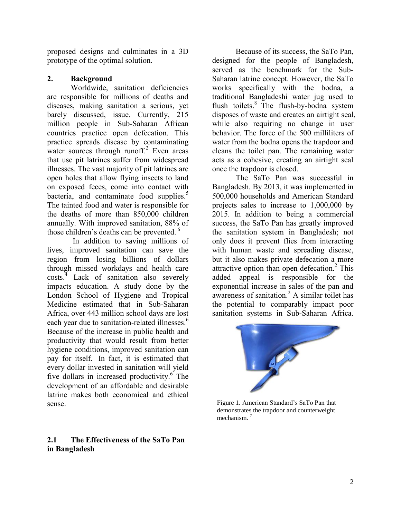proposed designs and culminates in a 3D prototype of the optimal solution.

#### **2. Background**

Worldwide, sanitation deficiencies are responsible for millions of deaths and diseases, making sanitation a serious, yet barely discussed, issue. Currently, 215 million people in Sub-Saharan African countries practice open defecation. This practice spreads disease by contaminating water sources through runoff.<sup>2</sup> Even areas that use pit latrines suffer from widespread illnesses. The vast majority of pit latrines are open holes that allow flying insects to land on exposed feces, come into contact with bacteria, and contaminate food supplies.<sup>5</sup> The tainted food and water is responsible for the deaths of more than 850,000 children annually. With improved sanitation, 88% of those children's deaths can be prevented.<sup>6</sup>

In addition to saving millions of lives, improved sanitation can save the region from losing billions of dollars through missed workdays and health care costs.<sup>4</sup> Lack of sanitation also severely impacts education. A study done by the London School of Hygiene and Tropical Medicine estimated that in Sub-Saharan Africa, over 443 million school days are lost each year due to sanitation-related illnesses.<sup>6</sup> Because of the increase in public health and productivity that would result from better hygiene conditions, improved sanitation can pay for itself. In fact, it is estimated that every dollar invested in sanitation will yield five dollars in increased productivity.<sup>6</sup> The development of an affordable and desirable latrine makes both economical and ethical sense.

#### **2.1 The Effectiveness of the SaTo Pan in Bangladesh**

Because of its success, the SaTo Pan, designed for the people of Bangladesh, served as the benchmark for the Sub-Saharan latrine concept. However, the SaTo works specifically with the bodna, a traditional Bangladeshi water jug used to flush toilets.<sup>8</sup> The flush-by-bodna system disposes of waste and creates an airtight seal, while also requiring no change in user behavior. The force of the 500 milliliters of water from the bodna opens the trapdoor and cleans the toilet pan. The remaining water acts as a cohesive, creating an airtight seal once the trapdoor is closed.

The SaTo Pan was successful in Bangladesh. By 2013, it was implemented in 500,000 households and American Standard projects sales to increase to 1,000,000 by 2015. In addition to being a commercial success, the SaTo Pan has greatly improved the sanitation system in Bangladesh; not only does it prevent flies from interacting with human waste and spreading disease, but it also makes private defecation a more attractive option than open defecation.<sup>2</sup> This added appeal is responsible for the exponential increase in sales of the pan and awareness of sanitation.<sup>2</sup> A similar toilet has the potential to comparably impact poor sanitation systems in Sub-Saharan Africa.



Figure 1. American Standard's SaTo Pan that demonstrates the trapdoor and counterweight mechanism. <sup>7</sup>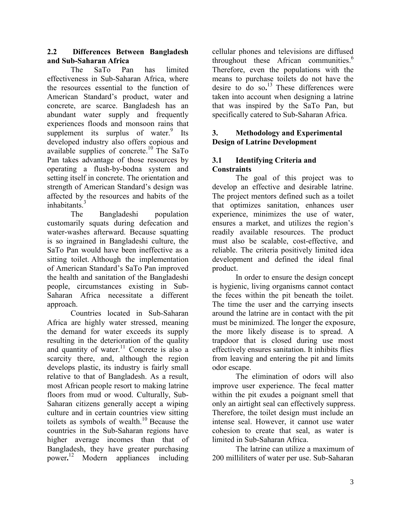#### **2.2 Differences Between Bangladesh and Sub-Saharan Africa**

The SaTo Pan has limited effectiveness in Sub-Saharan Africa, where the resources essential to the function of American Standard's product, water and concrete, are scarce. Bangladesh has an abundant water supply and frequently experiences floods and monsoon rains that supplement its surplus of water. Its developed industry also offers copious and available supplies of concrete.<sup>10</sup> The SaTo Pan takes advantage of those resources by operating a flush-by-bodna system and setting itself in concrete. The orientation and strength of American Standard's design was affected by the resources and habits of the inhabitants.<sup>3</sup>

The Bangladeshi population customarily squats during defecation and water-washes afterward. Because squatting is so ingrained in Bangladeshi culture, the SaTo Pan would have been ineffective as a sitting toilet. Although the implementation of American Standard's SaTo Pan improved the health and sanitation of the Bangladeshi people, circumstances existing in Sub-Saharan Africa necessitate a different approach.

Countries located in Sub-Saharan Africa are highly water stressed, meaning the demand for water exceeds its supply resulting in the deterioration of the quality and quantity of water.<sup>11</sup> Concrete is also a scarcity there, and, although the region develops plastic, its industry is fairly small relative to that of Bangladesh. As a result, most African people resort to making latrine floors from mud or wood. Culturally, Sub-Saharan citizens generally accept a wiping culture and in certain countries view sitting toilets as symbols of wealth.<sup>10</sup> Because the countries in the Sub-Saharan regions have higher average incomes than that of Bangladesh, they have greater purchasing power**.** <sup>12</sup> Modern appliances including

cellular phones and televisions are diffused throughout these African communities.<sup>6</sup> Therefore, even the populations with the means to purchase toilets do not have the desire to do so**.** <sup>13</sup> These differences were taken into account when designing a latrine that was inspired by the SaTo Pan, but specifically catered to Sub-Saharan Africa.

### **3. Methodology and Experimental Design of Latrine Development**

# **3.1 Identifying Criteria and Constraints**

The goal of this project was to develop an effective and desirable latrine. The project mentors defined such as a toilet that optimizes sanitation, enhances user experience, minimizes the use of water, ensures a market, and utilizes the region's readily available resources. The product must also be scalable, cost-effective, and reliable. The criteria positively limited idea development and defined the ideal final product.

In order to ensure the design concept is hygienic, living organisms cannot contact the feces within the pit beneath the toilet. The time the user and the carrying insects around the latrine are in contact with the pit must be minimized. The longer the exposure, the more likely disease is to spread. A trapdoor that is closed during use most effectively ensures sanitation. It inhibits flies from leaving and entering the pit and limits odor escape.

The elimination of odors will also improve user experience. The fecal matter within the pit exudes a poignant smell that only an airtight seal can effectively suppress. Therefore, the toilet design must include an intense seal. However, it cannot use water cohesion to create that seal, as water is limited in Sub-Saharan Africa.

The latrine can utilize a maximum of 200 milliliters of water per use. Sub-Saharan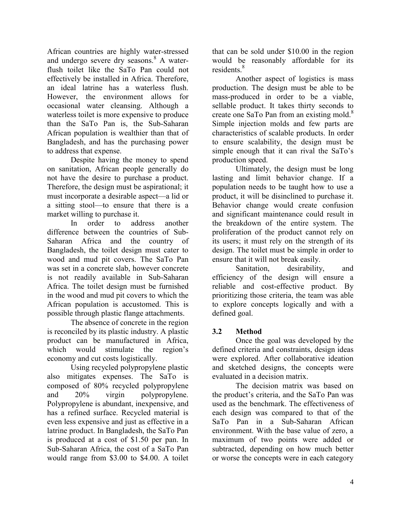African countries are highly water-stressed and undergo severe dry seasons.<sup>8</sup> A waterflush toilet like the SaTo Pan could not effectively be installed in Africa. Therefore, an ideal latrine has a waterless flush. However, the environment allows for occasional water cleansing. Although a waterless toilet is more expensive to produce than the SaTo Pan is, the Sub-Saharan African population is wealthier than that of Bangladesh, and has the purchasing power to address that expense.

Despite having the money to spend on sanitation, African people generally do not have the desire to purchase a product. Therefore, the design must be aspirational; it must incorporate a desirable aspect—a lid or a sitting stool—to ensure that there is a market willing to purchase it.

In order to address another difference between the countries of Sub-Saharan Africa and the country of Bangladesh, the toilet design must cater to wood and mud pit covers. The SaTo Pan was set in a concrete slab, however concrete is not readily available in Sub-Saharan Africa. The toilet design must be furnished in the wood and mud pit covers to which the African population is accustomed. This is possible through plastic flange attachments.

The absence of concrete in the region is reconciled by its plastic industry. A plastic product can be manufactured in Africa, which would stimulate the region's economy and cut costs logistically.

Using recycled polypropylene plastic also mitigates expenses. The SaTo is composed of 80% recycled polypropylene and 20% virgin polypropylene. Polypropylene is abundant, inexpensive, and has a refined surface. Recycled material is even less expensive and just as effective in a latrine product. In Bangladesh, the SaTo Pan is produced at a cost of \$1.50 per pan. In Sub-Saharan Africa, the cost of a SaTo Pan would range from \$3.00 to \$4.00. A toilet

that can be sold under \$10.00 in the region would be reasonably affordable for its residents.<sup>8</sup>

Another aspect of logistics is mass production. The design must be able to be mass-produced in order to be a viable, sellable product. It takes thirty seconds to create one SaTo Pan from an existing mold.<sup>8</sup> Simple injection molds and few parts are characteristics of scalable products. In order to ensure scalability, the design must be simple enough that it can rival the SaTo's production speed.

Ultimately, the design must be long lasting and limit behavior change. If a population needs to be taught how to use a product, it will be disinclined to purchase it. Behavior change would create confusion and significant maintenance could result in the breakdown of the entire system. The proliferation of the product cannot rely on its users; it must rely on the strength of its design. The toilet must be simple in order to ensure that it will not break easily.

Sanitation, desirability, and efficiency of the design will ensure a reliable and cost-effective product. By prioritizing those criteria, the team was able to explore concepts logically and with a defined goal.

# **3.2 Method**

Once the goal was developed by the defined criteria and constraints, design ideas were explored. After collaborative ideation and sketched designs, the concepts were evaluated in a decision matrix.

The decision matrix was based on the product's criteria, and the SaTo Pan was used as the benchmark. The effectiveness of each design was compared to that of the SaTo Pan in a Sub-Saharan African environment. With the base value of zero, a maximum of two points were added or subtracted, depending on how much better or worse the concepts were in each category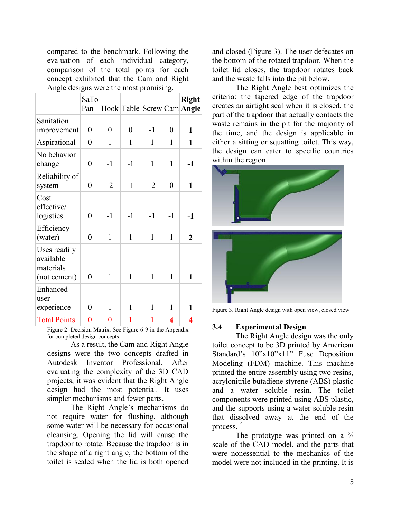compared to the benchmark. Following the evaluation of each individual category, comparison of the total points for each concept exhibited that the Cam and Right Angle designs were the most promising.

|                                                        | SaTo<br>Pan      |                |                  |              |                  | <b>Right</b><br>Hook Table Screw Cam Angle |
|--------------------------------------------------------|------------------|----------------|------------------|--------------|------------------|--------------------------------------------|
| Sanitation<br>improvement                              | $\boldsymbol{0}$ | $\overline{0}$ | $\boldsymbol{0}$ | $-1$         | $\overline{0}$   | $\mathbf{1}$                               |
| Aspirational                                           | $\boldsymbol{0}$ | 1              | 1                | 1            | 1                | 1                                          |
| No behavior<br>change                                  | $\boldsymbol{0}$ | $-1$           | $-1$             | 1            | 1                | $-1$                                       |
| Reliability of<br>system                               | $\overline{0}$   | $-2$           | $-1$             | $-2$         | $\boldsymbol{0}$ | $\mathbf{1}$                               |
| Cost<br>effective/<br>logistics                        | $\overline{0}$   | $-1$           | $-1$             | $-1$         | $-1$             | $-1$                                       |
| Efficiency<br>(water)                                  | $\overline{0}$   | 1              | 1                | 1            | 1                | $\mathbf 2$                                |
| Uses readily<br>available<br>materials<br>(not cement) | 0                | $\mathbf{1}$   | $\mathbf{1}$     | $\mathbf{1}$ | 1                | 1                                          |
| Enhanced<br>user<br>experience                         | 0                | 1              | 1                | $\mathbf{1}$ | 1                | 1                                          |
| <b>Total Points</b>                                    | $\overline{0}$   | 0              | 1                | 1            | 4                | 4                                          |

Figure 2. Decision Matrix. See Figure 6-9 in the Appendix for completed design concepts.

As a result, the Cam and Right Angle designs were the two concepts drafted in Autodesk Inventor Professional. After evaluating the complexity of the 3D CAD projects, it was evident that the Right Angle design had the most potential. It uses simpler mechanisms and fewer parts.

The Right Angle's mechanisms do not require water for flushing, although some water will be necessary for occasional cleansing. Opening the lid will cause the trapdoor to rotate. Because the trapdoor is in the shape of a right angle, the bottom of the toilet is sealed when the lid is both opened and closed (Figure 3). The user defecates on the bottom of the rotated trapdoor. When the toilet lid closes, the trapdoor rotates back and the waste falls into the pit below.

The Right Angle best optimizes the criteria: the tapered edge of the trapdoor creates an airtight seal when it is closed, the part of the trapdoor that actually contacts the waste remains in the pit for the majority of the time, and the design is applicable in either a sitting or squatting toilet. This way, the design can cater to specific countries within the region.



Figure 3. Right Angle design with open view, closed view

#### **3.4 Experimental Design**

The Right Angle design was the only toilet concept to be 3D printed by American Standard's  $10"x10"x11"$  Fuse Deposition Modeling (FDM) machine. This machine printed the entire assembly using two resins, acrylonitrile butadiene styrene (ABS) plastic and a water soluble resin. The toilet components were printed using ABS plastic, and the supports using a water-soluble resin that dissolved away at the end of the process. 14

The prototype was printed on a  $\frac{2}{3}$ scale of the CAD model, and the parts that were nonessential to the mechanics of the model were not included in the printing. It is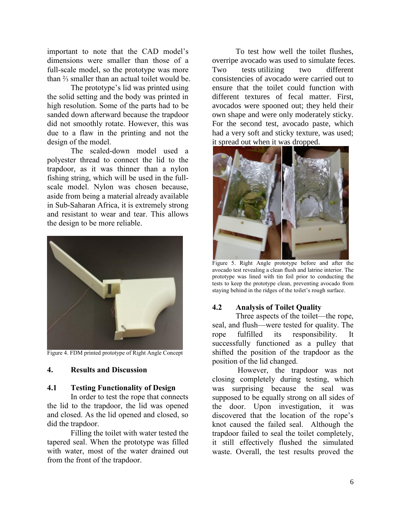important to note that the CAD model's dimensions were smaller than those of a full-scale model, so the prototype was more than ⅔ smaller than an actual toilet would be.

The prototype's lid was printed using the solid setting and the body was printed in high resolution. Some of the parts had to be sanded down afterward because the trapdoor did not smoothly rotate. However, this was due to a flaw in the printing and not the design of the model.

The scaled-down model used a polyester thread to connect the lid to the trapdoor, as it was thinner than a nylon fishing string, which will be used in the fullscale model. Nylon was chosen because, aside from being a material already available in Sub-Saharan Africa, it is extremely strong and resistant to wear and tear. This allows the design to be more reliable.



Figure 4. FDM printed prototype of Right Angle Concept

#### **4. Results and Discussion**

#### **4.1 Testing Functionality of Design**

In order to test the rope that connects the lid to the trapdoor, the lid was opened and closed. As the lid opened and closed, so did the trapdoor.

Filling the toilet with water tested the tapered seal. When the prototype was filled with water, most of the water drained out from the front of the trapdoor.

To test how well the toilet flushes, overripe avocado was used to simulate feces. Two tests utilizing two different consistencies of avocado were carried out to ensure that the toilet could function with different textures of fecal matter. First, avocados were spooned out; they held their own shape and were only moderately sticky. For the second test, avocado paste, which had a very soft and sticky texture, was used; it spread out when it was dropped.



Figure 5. Right Angle prototype before and after the avocado test revealing a clean flush and latrine interior. The prototype was lined with tin foil prior to conducting the tests to keep the prototype clean, preventing avocado from staying behind in the ridges of the toilet's rough surface.

# **4.2 Analysis of Toilet Quality**

Three aspects of the toilet—the rope, seal, and flush—were tested for quality. The rope fulfilled its responsibility. It successfully functioned as a pulley that shifted the position of the trapdoor as the position of the lid changed.

However, the trapdoor was not closing completely during testing, which was surprising because the seal was supposed to be equally strong on all sides of the door. Upon investigation, it was discovered that the location of the rope's knot caused the failed seal. Although the trapdoor failed to seal the toilet completely, it still effectively flushed the simulated waste. Overall, the test results proved the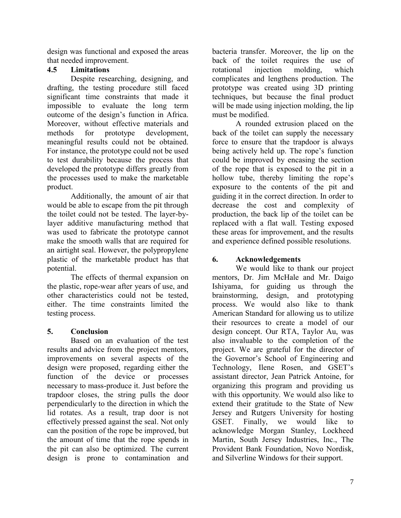design was functional and exposed the areas that needed improvement.

# **4.5 Limitations**

Despite researching, designing, and drafting, the testing procedure still faced significant time constraints that made it impossible to evaluate the long term outcome of the design's function in Africa. Moreover, without effective materials and methods for prototype development, meaningful results could not be obtained. For instance, the prototype could not be used to test durability because the process that developed the prototype differs greatly from the processes used to make the marketable product.

Additionally, the amount of air that would be able to escape from the pit through the toilet could not be tested. The layer-bylayer additive manufacturing method that was used to fabricate the prototype cannot make the smooth walls that are required for an airtight seal. However, the polypropylene plastic of the marketable product has that potential.

The effects of thermal expansion on the plastic, rope-wear after years of use, and other characteristics could not be tested, either. The time constraints limited the testing process.

# **5. Conclusion**

Based on an evaluation of the test results and advice from the project mentors, improvements on several aspects of the design were proposed, regarding either the function of the device or processes necessary to mass-produce it. Just before the trapdoor closes, the string pulls the door perpendicularly to the direction in which the lid rotates. As a result, trap door is not effectively pressed against the seal. Not only can the position of the rope be improved, but the amount of time that the rope spends in the pit can also be optimized. The current design is prone to contamination and bacteria transfer. Moreover, the lip on the back of the toilet requires the use of rotational injection molding, which complicates and lengthens production. The prototype was created using 3D printing techniques, but because the final product will be made using injection molding, the lip must be modified.

A rounded extrusion placed on the back of the toilet can supply the necessary force to ensure that the trapdoor is always being actively held up. The rope's function could be improved by encasing the section of the rope that is exposed to the pit in a hollow tube, thereby limiting the rope's exposure to the contents of the pit and guiding it in the correct direction. In order to decrease the cost and complexity of production, the back lip of the toilet can be replaced with a flat wall. Testing exposed these areas for improvement, and the results and experience defined possible resolutions.

# **6. Acknowledgements**

We would like to thank our project mentors, Dr. Jim McHale and Mr. Daigo Ishiyama, for guiding us through the brainstorming, design, and prototyping process. We would also like to thank American Standard for allowing us to utilize their resources to create a model of our design concept. Our RTA, Taylor Au, was also invaluable to the completion of the project. We are grateful for the director of the Governor's School of Engineering and Technology, Ilene Rosen, and GSET's assistant director, Jean Patrick Antoine, for organizing this program and providing us with this opportunity. We would also like to extend their gratitude to the State of New Jersey and Rutgers University for hosting GSET. Finally, we would like to acknowledge Morgan Stanley, Lockheed Martin, South Jersey Industries, Inc., The Provident Bank Foundation, Novo Nordisk, and Silverline Windows for their support.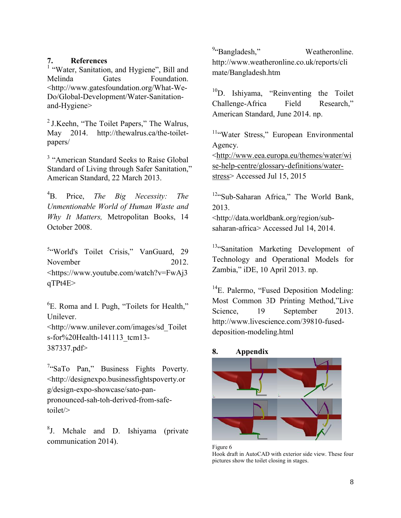#### **7. References**

<sup>1</sup> "Water, Sanitation, and Hygiene", Bill and Melinda Gates Foundation. <http://www.gatesfoundation.org/What-We-Do/Global-Development/Water-Sanitationand-Hygiene>

<sup>2</sup>J.Keehn, "The Toilet Papers," The Walrus, May 2014. http://thewalrus.ca/the-toiletpapers/

<sup>3</sup> "American Standard Seeks to Raise Global Standard of Living through Safer Sanitation," American Standard, 22 March 2013.

<sup>4</sup>B. Price, *The Big Necessity: The Unmentionable World of Human Waste and Why It Matters,* Metropolitan Books, 14 October 2008.

<sup>5</sup>"World's Toilet Crisis," VanGuard, 29 November 2012. [<https://www.youtube.com/watch?v=FwAj3](https://www.youtube.com/watch?v=FwAj3qTPt4E) [qTPt4E>](https://www.youtube.com/watch?v=FwAj3qTPt4E)

<sup>6</sup>E. Roma and I. Pugh, "Toilets for Health," Unilever. [<http://www.unilever.com/images/sd\\_Toilet](http://www.unilever.com/images/sd_Toilets-for%20Health-141113_tcm13-387337.pdf) [s-for%20Health-141113\\_tcm13-](http://www.unilever.com/images/sd_Toilets-for%20Health-141113_tcm13-387337.pdf) [387337.pdf>](http://www.unilever.com/images/sd_Toilets-for%20Health-141113_tcm13-387337.pdf)

<sup>7</sup>"SaTo Pan," Business Fights Poverty. <http://designexpo.businessfightspoverty.or g/design-expo-showcase/sato-panpronounced-sah-toh-derived-from-safetoilet/>

<sup>8</sup>J. Mchale and D. Ishiyama (private communication 2014).

<sup>9</sup>"Bangladesh," Weatheronline. [http://www.weatheronline.co.uk/reports/cli](http://www.weatheronline.co.uk/reports/climate/Bangladesh.htm) [mate/Bangladesh.htm](http://www.weatheronline.co.uk/reports/climate/Bangladesh.htm)

<sup>10</sup>D. Ishiyama, "Reinventing the Toilet Challenge-Africa Field Research," American Standard, June 2014. np.

<sup>11</sup>"Water Stress," European Environmental Agency.

[<http://www.eea.europa.eu/themes/water/wi](http://www.eea.europa.eu/themes/water/wise-help-centre/glossary-definitions/water-stress) [se-help-centre/glossary-definitions/water](http://www.eea.europa.eu/themes/water/wise-help-centre/glossary-definitions/water-stress)[stress>](http://www.eea.europa.eu/themes/water/wise-help-centre/glossary-definitions/water-stress) Accessed Jul 15, 2015

<sup>12</sup>"Sub-Saharan Africa," The World Bank, 2013. [<http://data.worldbank.org/region/sub](http://data.worldbank.org/region/sub-saharan-africa)[saharan-africa>](http://data.worldbank.org/region/sub-saharan-africa) Accessed Jul 14, 2014.

<sup>13</sup>"Sanitation Marketing Development of Technology and Operational Models for Zambia," iDE, 10 April 2013. np.

<sup>14</sup>E. Palermo, "Fused Deposition Modeling: Most Common 3D Printing Method,"Live Science, 19 September 2013. [http://www.livescience.com/39810-fused](http://www.livescience.com/39810-fused-deposition-modeling.html)[deposition-modeling.html](http://www.livescience.com/39810-fused-deposition-modeling.html)

#### **8. Appendix**



Figure 6 Hook draft in AutoCAD with exterior side view. These four pictures show the toilet closing in stages.